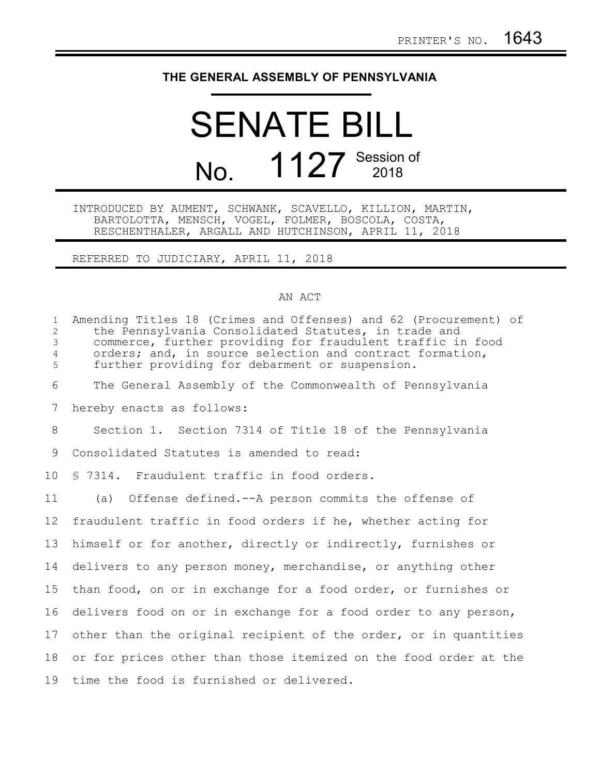## **THE GENERAL ASSEMBLY OF PENNSYLVANIA**

## SENATE BILL No. 1127 Session of

INTRODUCED BY AUMENT, SCHWANK, SCAVELLO, KILLION, MARTIN, BARTOLOTTA, MENSCH, VOGEL, FOLMER, BOSCOLA, COSTA, RESCHENTHALER, ARGALL AND HUTCHINSON, APRIL 11, 2018

REFERRED TO JUDICIARY, APRIL 11, 2018

## AN ACT

| $\mathbf{1}$<br>2<br>$\mathfrak{Z}$<br>$\overline{4}$<br>5 | Amending Titles 18 (Crimes and Offenses) and 62 (Procurement) of<br>the Pennsylvania Consolidated Statutes, in trade and<br>commerce, further providing for fraudulent traffic in food<br>orders; and, in source selection and contract formation,<br>further providing for debarment or suspension. |
|------------------------------------------------------------|------------------------------------------------------------------------------------------------------------------------------------------------------------------------------------------------------------------------------------------------------------------------------------------------------|
| 6                                                          | The General Assembly of the Commonwealth of Pennsylvania                                                                                                                                                                                                                                             |
| 7                                                          | hereby enacts as follows:                                                                                                                                                                                                                                                                            |
| 8                                                          | Section 1. Section 7314 of Title 18 of the Pennsylvania                                                                                                                                                                                                                                              |
| 9                                                          | Consolidated Statutes is amended to read:                                                                                                                                                                                                                                                            |
| 10 <sup>°</sup>                                            | § 7314. Fraudulent traffic in food orders.                                                                                                                                                                                                                                                           |
| 11                                                         | (a) Offense defined.--A person commits the offense of                                                                                                                                                                                                                                                |
| 12 <sup>°</sup>                                            | fraudulent traffic in food orders if he, whether acting for                                                                                                                                                                                                                                          |
| 13                                                         | himself or for another, directly or indirectly, furnishes or                                                                                                                                                                                                                                         |
| 14                                                         | delivers to any person money, merchandise, or anything other                                                                                                                                                                                                                                         |
| 15                                                         | than food, on or in exchange for a food order, or furnishes or                                                                                                                                                                                                                                       |
| 16                                                         | delivers food on or in exchange for a food order to any person,                                                                                                                                                                                                                                      |
| 17                                                         | other than the original recipient of the order, or in quantities                                                                                                                                                                                                                                     |
| 18                                                         | or for prices other than those itemized on the food order at the                                                                                                                                                                                                                                     |
| 19                                                         | time the food is furnished or delivered.                                                                                                                                                                                                                                                             |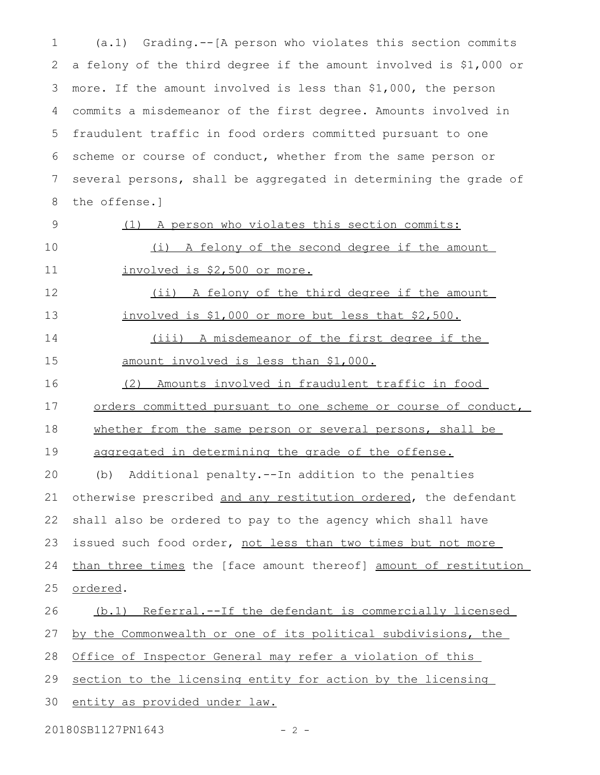(a.1) Grading.--[A person who violates this section commits a felony of the third degree if the amount involved is \$1,000 or more. If the amount involved is less than \$1,000, the person commits a misdemeanor of the first degree. Amounts involved in fraudulent traffic in food orders committed pursuant to one scheme or course of conduct, whether from the same person or several persons, shall be aggregated in determining the grade of the offense.] 1 2 3 4 5 6 7 8

9

(1) A person who violates this section commits:

(i) A felony of the second degree if the amount

(ii) A felony of the third degree if the amount

10

11

12

involved is \$1,000 or more but less that \$2,500. 13

involved is \$2,500 or more.

(iii) A misdemeanor of the first degree if the amount involved is less than \$1,000. 14 15

(2) Amounts involved in fraudulent traffic in food 16

orders committed pursuant to one scheme or course of conduct, 17

whether from the same person or several persons, shall be 18

aggregated in determining the grade of the offense. 19

(b) Additional penalty.--In addition to the penalties otherwise prescribed and any restitution ordered, the defendant shall also be ordered to pay to the agency which shall have issued such food order, not less than two times but not more than three times the [face amount thereof] amount of restitution ordered. 20 21 22 23 24 25

 (b.1) Referral.--If the defendant is commercially licensed 26

by the Commonwealth or one of its political subdivisions, the 27

Office of Inspector General may refer a violation of this 28

section to the licensing entity for action by the licensing 29

entity as provided under law. 30

20180SB1127PN1643 - 2 -